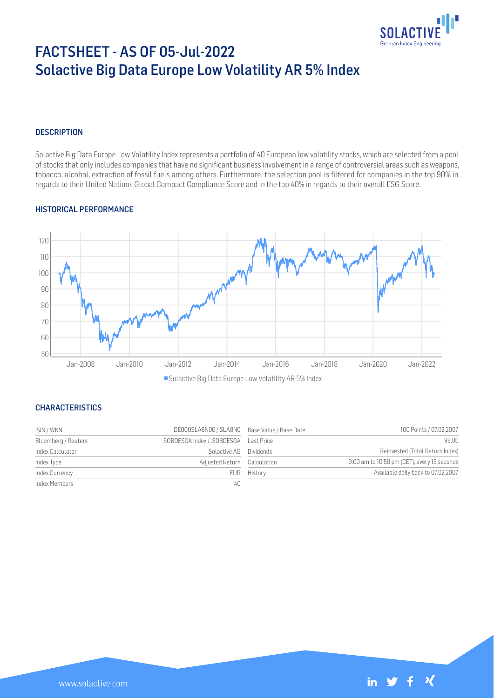

# FACTSHEET - AS OF 05-Jul-2022 Solactive Big Data Europe Low Volatility AR 5% Index

## **DESCRIPTION**

Solactive Big Data Europe Low Volatility Index represents a portfolio of 40 European low volatility stocks, which are selected from a pool of stocks that only includes companies that have no significant business involvement in a range of controversial areas such as weapons, tobacco, alcohol, extraction of fossil fuels among others. Furthermore, the selection pool is filtered for companies in the top 90% in regards to their United Nations Global Compact Compliance Score and in the top 40% in regards to their overall ESG Score.

#### HISTORICAL PERFORMANCE



Solactive Big Data Europe Low Volatility AR 5% Index

#### **CHARACTERISTICS**

| ISIN / WKN          | DE000SLA8N00 / SLA8N0 Base Value / Base Date |             | 100 Points / 07.02.2007                     |
|---------------------|----------------------------------------------|-------------|---------------------------------------------|
| Bloomberg / Reuters |                                              |             | 98.86                                       |
| Index Calculator    | Solactive AG Dividends                       |             | Reinvested (Total Return Index)             |
| Index Type          | Adjusted Return Calculation                  |             | 9:00 am to 10:50 pm (CET), every 15 seconds |
| Index Currency      |                                              | EUR History | Available daily back to 07.02.2007          |
| Index Members       | 40                                           |             |                                             |

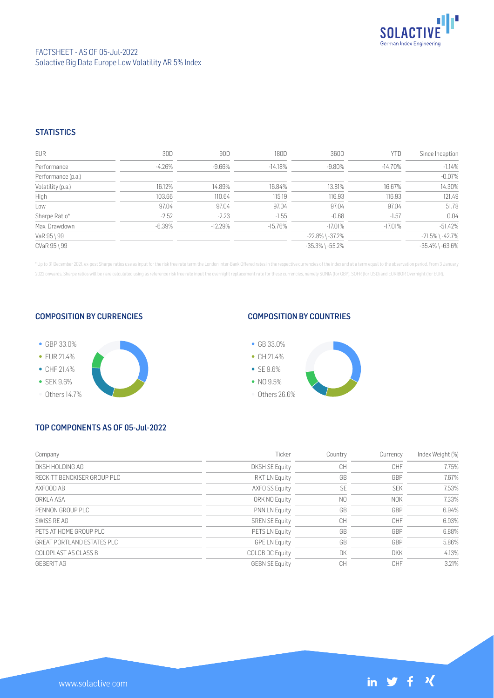

## **STATISTICS**

| <b>EUR</b>         | 30D       | 90D       | 180D      | 360D                  | YTD       | Since Inception       |
|--------------------|-----------|-----------|-----------|-----------------------|-----------|-----------------------|
| Performance        | $-4.26\%$ | -9.66%    | $-14.18%$ | $-9.80\%$             | -14.70%   | $-1.14%$              |
| Performance (p.a.) |           |           |           |                       |           | $-0.07%$              |
| Volatility (p.a.)  | 16.12%    | 14.89%    | 16.84%    | 13.81%                | 16.67%    | 14.30%                |
| High               | 103.66    | 110.64    | 115.19    | 116.93                | 116.93    | 121.49                |
| Low                | 97.04     | 97.04     | 97.04     | 97.04                 | 97.04     | 51.78                 |
| Sharpe Ratio*      | $-2.52$   | $-2.23$   | $-1.55$   | $-0.68$               | $-1.57$   | 0.04                  |
| Max. Drawdown      | $-6.39%$  | $-12.29%$ | $-15.76%$ | $-17.01%$             | $-17.01%$ | $-51.42%$             |
| VaR 95 \ 99        |           |           |           | $-22.8\%$ \ $-37.2\%$ |           | $-21.5\%$ \ $-42.7\%$ |
| CVaR 95 \ 99       |           |           |           | $-35.3\%$ \ $-55.2\%$ |           | $-35.4\%$ \ $-63.6\%$ |

\* Up to 31 December 2021, ex-post Sharpe ratios use as input for the risk free rate term the London Inter-Bank Offered rates in the respective currencies of the index and at a term equal to the observation period. From 3 J 2022 onwards, Sharpe ratios will be / are calculated using as reference risk free rate input the overnight replacement rate for these currencies, namely SONIA (for GBP), SOFR (for USD) and EURIBOR Overnight (for EUR).

#### COMPOSITION BY CURRENCIES



#### COMPOSITION BY COUNTRIES



# TOP COMPONENTS AS OF 05-Jul-2022

| Company                     | Ticker                 | Country        | Currency   | Index Weight (%) |
|-----------------------------|------------------------|----------------|------------|------------------|
| DKSH HOLDING AG             | <b>DKSH SE Equity</b>  | CH             | <b>CHF</b> | 7.75%            |
| RECKITT BENCKISER GROUP PLC | <b>RKT LN Equity</b>   | GB             | GBP        | 7.67%            |
| AXFOOD AB                   | AXFO SS Equity         | <b>SE</b>      | <b>SEK</b> | 7.53%            |
| ORKLA ASA                   | ORK NO Equity          | N <sub>0</sub> | <b>NOK</b> | 7.33%            |
| PENNON GROUP PLC            | <b>PNN LN Equity</b>   | GB             | GBP        | 6.94%            |
| SWISS RF AG                 | <b>SREN SE Equity</b>  | CH             | CHF        | 6.93%            |
| PETS AT HOME GROUP PLC      | PETS LN Equity         | GB             | GBP        | 6.88%            |
| GREAT PORTLAND ESTATES PLC  | <b>GPE LN Equity</b>   | GB             | GBP        | 5.86%            |
| COLOPLAST AS CLASS B        | <b>COLOB DC Equity</b> | DK             | <b>DKK</b> | 4.13%            |
| <b>GEBERIT AG</b>           | <b>GEBN SE Equity</b>  | CН             | CHF        | 3.21%            |